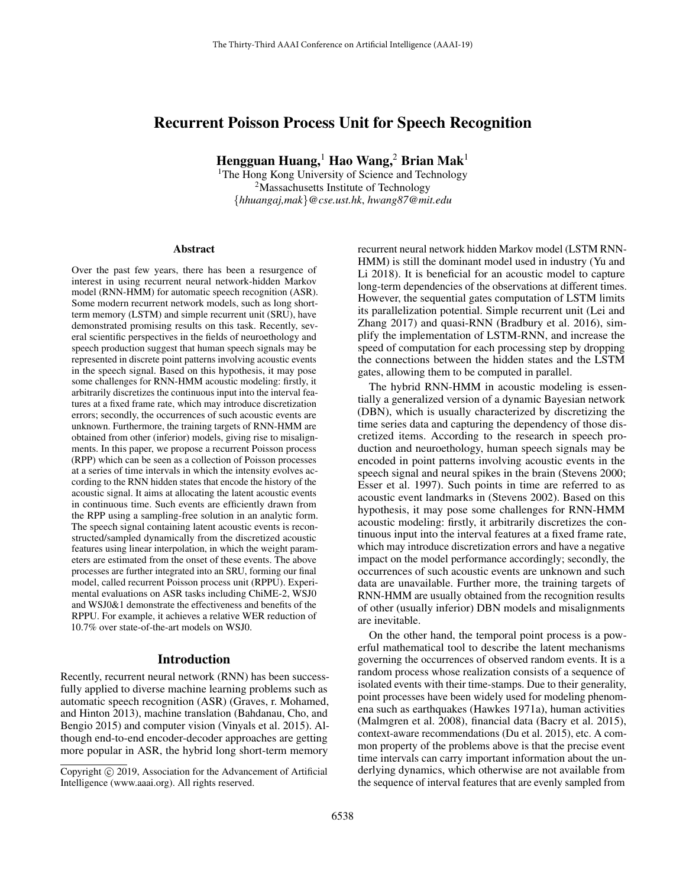# Recurrent Poisson Process Unit for Speech Recognition

Hengguan Huang,<sup>1</sup> Hao Wang,<sup>2</sup> Brian Mak<sup>1</sup>

<sup>1</sup>The Hong Kong University of Science and Technology <sup>2</sup>Massachusetts Institute of Technology {*hhuangaj,mak*}*@cse.ust.hk*, *hwang87@mit.edu*

#### Abstract

Over the past few years, there has been a resurgence of interest in using recurrent neural network-hidden Markov model (RNN-HMM) for automatic speech recognition (ASR). Some modern recurrent network models, such as long shortterm memory (LSTM) and simple recurrent unit (SRU), have demonstrated promising results on this task. Recently, several scientific perspectives in the fields of neuroethology and speech production suggest that human speech signals may be represented in discrete point patterns involving acoustic events in the speech signal. Based on this hypothesis, it may pose some challenges for RNN-HMM acoustic modeling: firstly, it arbitrarily discretizes the continuous input into the interval features at a fixed frame rate, which may introduce discretization errors; secondly, the occurrences of such acoustic events are unknown. Furthermore, the training targets of RNN-HMM are obtained from other (inferior) models, giving rise to misalignments. In this paper, we propose a recurrent Poisson process (RPP) which can be seen as a collection of Poisson processes at a series of time intervals in which the intensity evolves according to the RNN hidden states that encode the history of the acoustic signal. It aims at allocating the latent acoustic events in continuous time. Such events are efficiently drawn from the RPP using a sampling-free solution in an analytic form. The speech signal containing latent acoustic events is reconstructed/sampled dynamically from the discretized acoustic features using linear interpolation, in which the weight parameters are estimated from the onset of these events. The above processes are further integrated into an SRU, forming our final model, called recurrent Poisson process unit (RPPU). Experimental evaluations on ASR tasks including ChiME-2, WSJ0 and WSJ0&1 demonstrate the effectiveness and benefits of the RPPU. For example, it achieves a relative WER reduction of 10.7% over state-of-the-art models on WSJ0.

# Introduction

Recently, recurrent neural network (RNN) has been successfully applied to diverse machine learning problems such as automatic speech recognition (ASR) (Graves, r. Mohamed, and Hinton 2013), machine translation (Bahdanau, Cho, and Bengio 2015) and computer vision (Vinyals et al. 2015). Although end-to-end encoder-decoder approaches are getting more popular in ASR, the hybrid long short-term memory recurrent neural network hidden Markov model (LSTM RNN-HMM) is still the dominant model used in industry (Yu and Li 2018). It is beneficial for an acoustic model to capture long-term dependencies of the observations at different times. However, the sequential gates computation of LSTM limits its parallelization potential. Simple recurrent unit (Lei and Zhang 2017) and quasi-RNN (Bradbury et al. 2016), simplify the implementation of LSTM-RNN, and increase the speed of computation for each processing step by dropping the connections between the hidden states and the LSTM gates, allowing them to be computed in parallel.

The hybrid RNN-HMM in acoustic modeling is essentially a generalized version of a dynamic Bayesian network (DBN), which is usually characterized by discretizing the time series data and capturing the dependency of those discretized items. According to the research in speech production and neuroethology, human speech signals may be encoded in point patterns involving acoustic events in the speech signal and neural spikes in the brain (Stevens 2000; Esser et al. 1997). Such points in time are referred to as acoustic event landmarks in (Stevens 2002). Based on this hypothesis, it may pose some challenges for RNN-HMM acoustic modeling: firstly, it arbitrarily discretizes the continuous input into the interval features at a fixed frame rate, which may introduce discretization errors and have a negative impact on the model performance accordingly; secondly, the occurrences of such acoustic events are unknown and such data are unavailable. Further more, the training targets of RNN-HMM are usually obtained from the recognition results of other (usually inferior) DBN models and misalignments are inevitable.

On the other hand, the temporal point process is a powerful mathematical tool to describe the latent mechanisms governing the occurrences of observed random events. It is a random process whose realization consists of a sequence of isolated events with their time-stamps. Due to their generality, point processes have been widely used for modeling phenomena such as earthquakes (Hawkes 1971a), human activities (Malmgren et al. 2008), financial data (Bacry et al. 2015), context-aware recommendations (Du et al. 2015), etc. A common property of the problems above is that the precise event time intervals can carry important information about the underlying dynamics, which otherwise are not available from the sequence of interval features that are evenly sampled from

Copyright © 2019, Association for the Advancement of Artificial Intelligence (www.aaai.org). All rights reserved.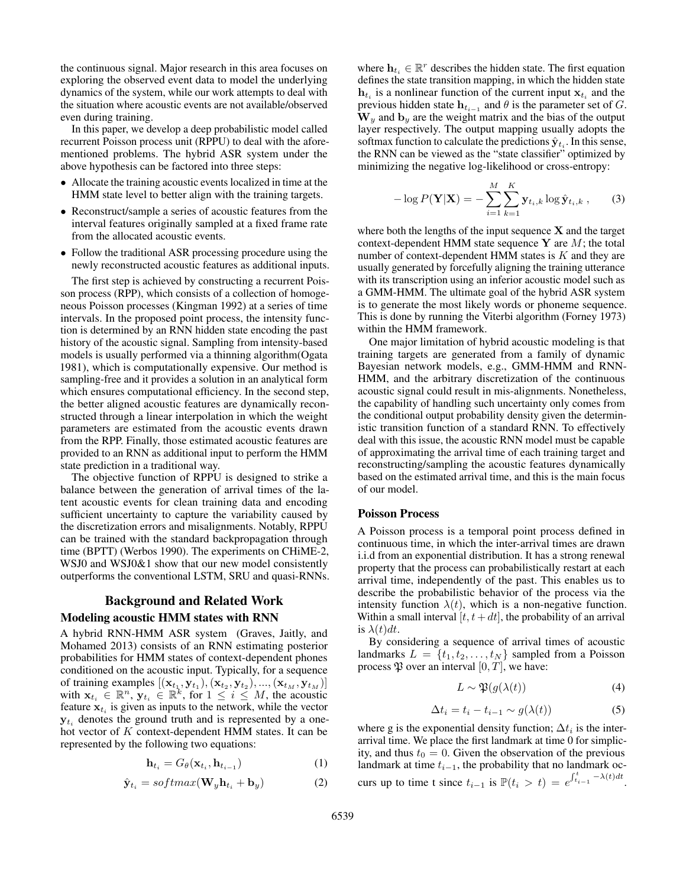the continuous signal. Major research in this area focuses on exploring the observed event data to model the underlying dynamics of the system, while our work attempts to deal with the situation where acoustic events are not available/observed even during training.

In this paper, we develop a deep probabilistic model called recurrent Poisson process unit (RPPU) to deal with the aforementioned problems. The hybrid ASR system under the above hypothesis can be factored into three steps:

- Allocate the training acoustic events localized in time at the HMM state level to better align with the training targets.
- Reconstruct/sample a series of acoustic features from the interval features originally sampled at a fixed frame rate from the allocated acoustic events.
- Follow the traditional ASR processing procedure using the newly reconstructed acoustic features as additional inputs.

The first step is achieved by constructing a recurrent Poisson process (RPP), which consists of a collection of homogeneous Poisson processes (Kingman 1992) at a series of time intervals. In the proposed point process, the intensity function is determined by an RNN hidden state encoding the past history of the acoustic signal. Sampling from intensity-based models is usually performed via a thinning algorithm(Ogata 1981), which is computationally expensive. Our method is sampling-free and it provides a solution in an analytical form which ensures computational efficiency. In the second step, the better aligned acoustic features are dynamically reconstructed through a linear interpolation in which the weight parameters are estimated from the acoustic events drawn from the RPP. Finally, those estimated acoustic features are provided to an RNN as additional input to perform the HMM state prediction in a traditional way.

The objective function of RPPU is designed to strike a balance between the generation of arrival times of the latent acoustic events for clean training data and encoding sufficient uncertainty to capture the variability caused by the discretization errors and misalignments. Notably, RPPU can be trained with the standard backpropagation through time (BPTT) (Werbos 1990). The experiments on CHiME-2, WSJ0 and WSJ0&1 show that our new model consistently outperforms the conventional LSTM, SRU and quasi-RNNs.

# Background and Related Work Modeling acoustic HMM states with RNN

A hybrid RNN-HMM ASR system (Graves, Jaitly, and Mohamed 2013) consists of an RNN estimating posterior probabilities for HMM states of context-dependent phones conditioned on the acoustic input. Typically, for a sequence of training examples  $[(\mathbf{x}_{t_1}, \mathbf{y}_{t_1}), (\mathbf{x}_{t_2}, \mathbf{y}_{t_2}), ..., (\mathbf{x}_{t_M}, \mathbf{y}_{t_M})]$ with  $\mathbf{x}_{t_i} \in \mathbb{R}^n$ ,  $\mathbf{y}_{t_i} \in \mathbb{R}^k$ , for  $1 \leq i \leq M$ , the acoustic feature  $x_{t_i}$  is given as inputs to the network, while the vector  $y_{t_i}$  denotes the ground truth and is represented by a onehot vector of K context-dependent HMM states. It can be represented by the following two equations:

$$
\mathbf{h}_{t_i} = G_{\theta}(\mathbf{x}_{t_i}, \mathbf{h}_{t_{i-1}}) \tag{1}
$$

$$
\hat{\mathbf{y}}_{t_i} = softmax(\mathbf{W}_y \mathbf{h}_{t_i} + \mathbf{b}_y)
$$
 (2)

where  $\mathbf{h}_{t_i} \in \mathbb{R}^r$  describes the hidden state. The first equation defines the state transition mapping, in which the hidden state  $h_{t_i}$  is a nonlinear function of the current input  $x_{t_i}$  and the previous hidden state  $\mathbf{h}_{t_{i-1}}$  and  $\theta$  is the parameter set of G.  $W_y$  and  $b_y$  are the weight matrix and the bias of the output layer respectively. The output mapping usually adopts the softmax function to calculate the predictions  $\hat{\mathbf{y}}_{t_i}$ . In this sense, the RNN can be viewed as the "state classifier" optimized by minimizing the negative log-likelihood or cross-entropy:

$$
-\log P(\mathbf{Y}|\mathbf{X}) = -\sum_{i=1}^{M} \sum_{k=1}^{K} \mathbf{y}_{t_i,k} \log \hat{\mathbf{y}}_{t_i,k} ,
$$
 (3)

where both the lengths of the input sequence  $X$  and the target context-dependent HMM state sequence  $Y$  are  $M$ ; the total number of context-dependent HMM states is  $K$  and they are usually generated by forcefully aligning the training utterance with its transcription using an inferior acoustic model such as a GMM-HMM. The ultimate goal of the hybrid ASR system is to generate the most likely words or phoneme sequence. This is done by running the Viterbi algorithm (Forney 1973) within the HMM framework.

One major limitation of hybrid acoustic modeling is that training targets are generated from a family of dynamic Bayesian network models, e.g., GMM-HMM and RNN-HMM, and the arbitrary discretization of the continuous acoustic signal could result in mis-alignments. Nonetheless, the capability of handling such uncertainty only comes from the conditional output probability density given the deterministic transition function of a standard RNN. To effectively deal with this issue, the acoustic RNN model must be capable of approximating the arrival time of each training target and reconstructing/sampling the acoustic features dynamically based on the estimated arrival time, and this is the main focus of our model.

## Poisson Process

A Poisson process is a temporal point process defined in continuous time, in which the inter-arrival times are drawn i.i.d from an exponential distribution. It has a strong renewal property that the process can probabilistically restart at each arrival time, independently of the past. This enables us to describe the probabilistic behavior of the process via the intensity function  $\lambda(t)$ , which is a non-negative function. Within a small interval  $[t, t + dt]$ , the probability of an arrival is  $\lambda(t)dt$ .

By considering a sequence of arrival times of acoustic landmarks  $L = \{t_1, t_2, \ldots, t_N\}$  sampled from a Poisson process  $\mathfrak P$  over an interval  $[0, T]$ , we have:

$$
L \sim \mathfrak{P}(g(\lambda(t)) \tag{4}
$$

$$
\Delta t_i = t_i - t_{i-1} \sim g(\lambda(t)) \tag{5}
$$

where g is the exponential density function;  $\Delta t_i$  is the interarrival time. We place the first landmark at time 0 for simplicity, and thus  $t_0 = 0$ . Given the observation of the previous landmark at time  $t_{i-1}$ , the probability that no landmark occurs up to time t since  $t_{i-1}$  is  $\mathbb{P}(t_i > t) = e^{\int_{t_{i-1}}^{t} -\lambda(t)dt}$ .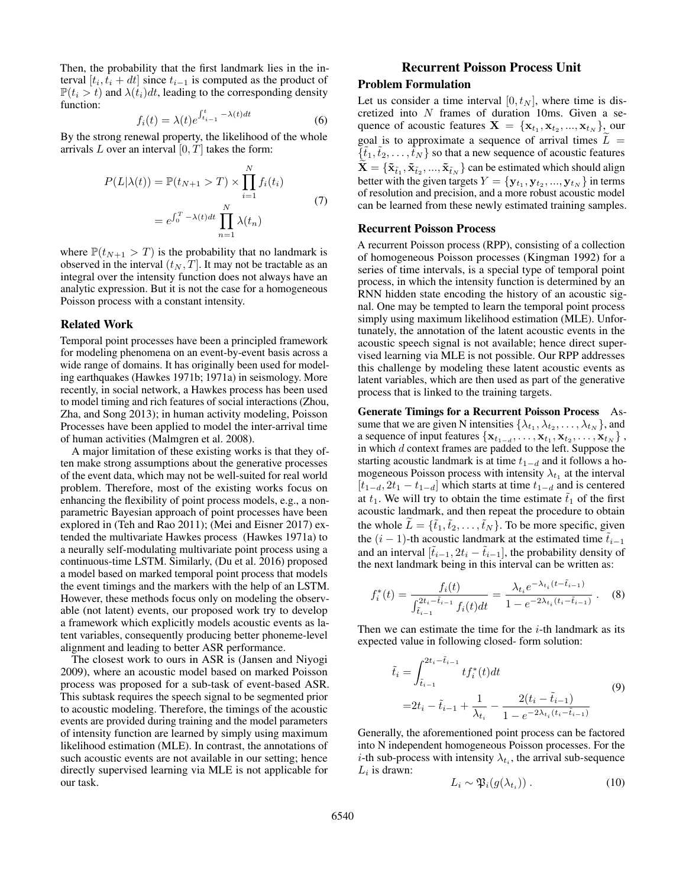Then, the probability that the first landmark lies in the interval  $[t_i, t_i + dt]$  since  $t_{i-1}$  is computed as the product of  $\mathbb{P}(t_i > t)$  and  $\lambda(t_i)dt$ , leading to the corresponding density function:

$$
f_i(t) = \lambda(t)e^{\int_{t_{i-1}}^{t} -\lambda(t)dt}
$$
\n(6)

By the strong renewal property, the likelihood of the whole arrivals  $L$  over an interval  $[0, T]$  takes the form:

$$
P(L|\lambda(t)) = \mathbb{P}(t_{N+1} > T) \times \prod_{i=1}^{N} f_i(t_i)
$$
  
=  $e^{\int_0^T -\lambda(t)dt} \prod_{n=1}^{N} \lambda(t_n)$  (7)

where  $\mathbb{P}(t_{N+1} > T)$  is the probability that no landmark is observed in the interval  $(t_N, T]$ . It may not be tractable as an integral over the intensity function does not always have an analytic expression. But it is not the case for a homogeneous Poisson process with a constant intensity.

### Related Work

Temporal point processes have been a principled framework for modeling phenomena on an event-by-event basis across a wide range of domains. It has originally been used for modeling earthquakes (Hawkes 1971b; 1971a) in seismology. More recently, in social network, a Hawkes process has been used to model timing and rich features of social interactions (Zhou, Zha, and Song 2013); in human activity modeling, Poisson Processes have been applied to model the inter-arrival time of human activities (Malmgren et al. 2008).

A major limitation of these existing works is that they often make strong assumptions about the generative processes of the event data, which may not be well-suited for real world problem. Therefore, most of the existing works focus on enhancing the flexibility of point process models, e.g., a nonparametric Bayesian approach of point processes have been explored in (Teh and Rao 2011); (Mei and Eisner 2017) extended the multivariate Hawkes process (Hawkes 1971a) to a neurally self-modulating multivariate point process using a continuous-time LSTM. Similarly, (Du et al. 2016) proposed a model based on marked temporal point process that models the event timings and the markers with the help of an LSTM. However, these methods focus only on modeling the observable (not latent) events, our proposed work try to develop a framework which explicitly models acoustic events as latent variables, consequently producing better phoneme-level alignment and leading to better ASR performance.

The closest work to ours in ASR is (Jansen and Niyogi 2009), where an acoustic model based on marked Poisson process was proposed for a sub-task of event-based ASR. This subtask requires the speech signal to be segmented prior to acoustic modeling. Therefore, the timings of the acoustic events are provided during training and the model parameters of intensity function are learned by simply using maximum likelihood estimation (MLE). In contrast, the annotations of such acoustic events are not available in our setting; hence directly supervised learning via MLE is not applicable for our task.

# Recurrent Poisson Process Unit

### Problem Formulation

Let us consider a time interval  $[0, t_N]$ , where time is discretized into N frames of duration 10ms. Given a sequence of acoustic features  $\mathbf{X} = \{\mathbf{x}_{t_1}, \mathbf{x}_{t_2}, ..., \mathbf{x}_{t_N}\}$ , our goal is to approximate a sequence of arrival times  $L =$  $\{\tilde{t}_1,\tilde{t}_2,\ldots,\tilde{t}_N\}$  so that a new sequence of acoustic features  $\mathbf{X} = {\{\tilde{\mathbf{x}}_{\tilde{t}_1}, \tilde{\mathbf{x}}_{\tilde{t}_2}, ..., \tilde{\mathbf{x}}_{\tilde{t}_N}\}}$  can be estimated which should align better with the given targets  $Y = {\mathbf{y}_{t_1}, \mathbf{y}_{t_2}, ..., \mathbf{y}_{t_N}}$  in terms of resolution and precision, and a more robust acoustic model can be learned from these newly estimated training samples.

### Recurrent Poisson Process

A recurrent Poisson process (RPP), consisting of a collection of homogeneous Poisson processes (Kingman 1992) for a series of time intervals, is a special type of temporal point process, in which the intensity function is determined by an RNN hidden state encoding the history of an acoustic signal. One may be tempted to learn the temporal point process simply using maximum likelihood estimation (MLE). Unfortunately, the annotation of the latent acoustic events in the acoustic speech signal is not available; hence direct supervised learning via MLE is not possible. Our RPP addresses this challenge by modeling these latent acoustic events as latent variables, which are then used as part of the generative process that is linked to the training targets.

Generate Timings for a Recurrent Poisson Process Assume that we are given N intensities  $\{\lambda_{t_1}, \lambda_{t_2}, \dots, \lambda_{t_N}\}$ , and a sequence of input features  $\{{\bf x}_{t_{1-d}},\ldots,{\bf x}_{t_1},{\bf x}_{t_2},\ldots,{\bf x}_{t_N}\}$  , in which  $d$  context frames are padded to the left. Suppose the starting acoustic landmark is at time  $t_{1-d}$  and it follows a homogeneous Poisson process with intensity  $\lambda_{t_1}$  at the interval  $[t_{1-d}, 2t_1 - t_{1-d}]$  which starts at time  $t_{1-d}$  and is centered at  $t_1$ . We will try to obtain the time estimate  $\tilde{t}_1$  of the first acoustic landmark, and then repeat the procedure to obtain the whole  $\tilde{L} = {\tilde{t}_1, \tilde{t}_2, \ldots, \tilde{t}_N}$ . To be more specific, given the  $(i - 1)$ -th acoustic landmark at the estimated time  $\tilde{t}_{i-1}$ and an interval  $[\tilde{t}_{i-1}, 2t_i - \tilde{t}_{i-1}]$ , the probability density of the next landmark being in this interval can be written as:

$$
f_i^*(t) = \frac{f_i(t)}{\int_{\tilde{t}_{i-1}}^{2t_i - \tilde{t}_{i-1}} f_i(t)dt} = \frac{\lambda_{t_i} e^{-\lambda_{t_i}(t - \tilde{t}_{i-1})}}{1 - e^{-2\lambda_{t_i}(t_i - \tilde{t}_{i-1})}} .
$$
 (8)

Then we can estimate the time for the  $i$ -th landmark as its expected value in following closed- form solution:

$$
\tilde{t}_{i} = \int_{\tilde{t}_{i-1}}^{2t_{i} - \tilde{t}_{i-1}} t f_{i}^{*}(t) dt
$$
\n
$$
= 2t_{i} - \tilde{t}_{i-1} + \frac{1}{\lambda_{t_{i}}} - \frac{2(t_{i} - \tilde{t}_{i-1})}{1 - e^{-2\lambda_{t_{i}}(t_{i} - \tilde{t}_{i-1})}}
$$
\n(9)

Generally, the aforementioned point process can be factored into N independent homogeneous Poisson processes. For the *i*-th sub-process with intensity  $\lambda_{t_i}$ , the arrival sub-sequence  $L_i$  is drawn:

$$
L_i \sim \mathfrak{P}_i(g(\lambda_{t_i}))\,. \tag{10}
$$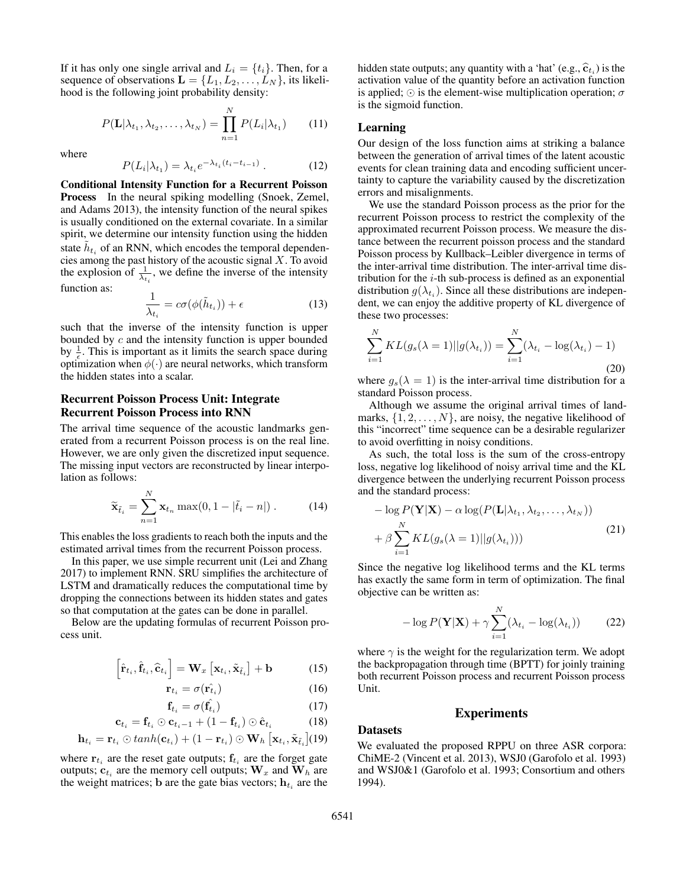If it has only one single arrival and  $L_i = \{t_i\}$ . Then, for a sequence of observations  $\mathbf{L} = \{L_1, L_2, \ldots, L_N\}$ , its likelihood is the following joint probability density:

$$
P(\mathbf{L}|\lambda_{t_1}, \lambda_{t_2}, \dots, \lambda_{t_N}) = \prod_{n=1}^N P(L_i|\lambda_{t_1}) \qquad (11)
$$

where

$$
P(L_i|\lambda_{t_1}) = \lambda_{t_i} e^{-\lambda_{t_i}(t_i - t_{i-1})}.
$$
 (12)

Conditional Intensity Function for a Recurrent Poisson Process In the neural spiking modelling (Snoek, Zemel, and Adams 2013), the intensity function of the neural spikes is usually conditioned on the external covariate. In a similar spirit, we determine our intensity function using the hidden state  $\tilde{h}_{t_i}$  of an RNN, which encodes the temporal dependencies among the past history of the acoustic signal  $X$ . To avoid the explosion of  $\frac{1}{\lambda t_i}$ , we define the inverse of the intensity function as:

$$
\frac{1}{\lambda_{t_i}} = c\sigma(\phi(\tilde{h}_{t_i})) + \epsilon \tag{13}
$$

such that the inverse of the intensity function is upper bounded by  $c$  and the intensity function is upper bounded by  $\frac{1}{\epsilon}$ . This is important as it limits the search space during optimization when  $\phi(\cdot)$  are neural networks, which transform the hidden states into a scalar.

# Recurrent Poisson Process Unit: Integrate Recurrent Poisson Process into RNN

The arrival time sequence of the acoustic landmarks generated from a recurrent Poisson process is on the real line. However, we are only given the discretized input sequence. The missing input vectors are reconstructed by linear interpolation as follows:

$$
\widetilde{\mathbf{x}}_{\tilde{t}_i} = \sum_{n=1}^{N} \mathbf{x}_{t_n} \max(0, 1 - |\tilde{t}_i - n|) \,. \tag{14}
$$

This enables the loss gradients to reach both the inputs and the estimated arrival times from the recurrent Poisson process.

In this paper, we use simple recurrent unit (Lei and Zhang 2017) to implement RNN. SRU simplifies the architecture of LSTM and dramatically reduces the computational time by dropping the connections between its hidden states and gates so that computation at the gates can be done in parallel.

Below are the updating formulas of recurrent Poisson process unit.

$$
\left[\hat{\mathbf{r}}_{t_i}, \hat{\mathbf{f}}_{t_i}, \hat{\mathbf{c}}_{t_i}\right] = \mathbf{W}_x\left[\mathbf{x}_{t_i}, \tilde{\mathbf{x}}_{\tilde{t}_i}\right] + \mathbf{b} \tag{15}
$$

$$
\mathbf{r}_{t_i} = \sigma(\hat{\mathbf{r}_{t_i}}) \tag{16}
$$

$$
\mathbf{f}_{t_i} = \sigma(\hat{\mathbf{f}_{t_i}}) \tag{17}
$$

$$
\mathbf{c}_{t_i} = \mathbf{f}_{t_i} \odot \mathbf{c}_{t_i-1} + (1 - \mathbf{f}_{t_i}) \odot \hat{\mathbf{c}}_{t_i} \tag{18}
$$

$$
\mathbf{h}_{t_i} = \mathbf{r}_{t_i} \odot tanh(\mathbf{c}_{t_i}) + (1 - \mathbf{r}_{t_i}) \odot \mathbf{W}_h [\mathbf{x}_{t_i}, \tilde{\mathbf{x}}_{\tilde{t}_i}] (19)
$$

where  $\mathbf{r}_{t_i}$  are the reset gate outputs;  $\mathbf{f}_{t_i}$  are the forget gate outputs;  $\mathbf{c}_{t_i}$  are the memory cell outputs;  $\mathbf{W}_x$  and  $\mathbf{W}_h$  are the weight matrices; b are the gate bias vectors;  $h_{t_i}$  are the

hidden state outputs; any quantity with a 'hat' (e.g.,  $\hat{\mathbf{c}}_{t_i}$ ) is the activation value of the quantity before an activation function activation value of the quantity before an activation function is applied;  $\odot$  is the element-wise multiplication operation;  $\sigma$ is the sigmoid function.

# Learning

Our design of the loss function aims at striking a balance between the generation of arrival times of the latent acoustic events for clean training data and encoding sufficient uncertainty to capture the variability caused by the discretization errors and misalignments.

We use the standard Poisson process as the prior for the recurrent Poisson process to restrict the complexity of the approximated recurrent Poisson process. We measure the distance between the recurrent poisson process and the standard Poisson process by Kullback–Leibler divergence in terms of the inter-arrival time distribution. The inter-arrival time distribution for the  $i$ -th sub-process is defined as an exponential distribution  $g(\lambda_{t_i})$ . Since all these distributions are independent, we can enjoy the additive property of KL divergence of these two processes:

$$
\sum_{i=1}^{N} KL(g_s(\lambda = 1) || g(\lambda_{t_i})) = \sum_{i=1}^{N} (\lambda_{t_i} - \log(\lambda_{t_i}) - 1)
$$
\n(20)

where  $g_s(\lambda = 1)$  is the inter-arrival time distribution for a standard Poisson process.

Although we assume the original arrival times of landmarks,  $\{1, 2, \ldots, N\}$ , are noisy, the negative likelihood of this "incorrect" time sequence can be a desirable regularizer to avoid overfitting in noisy conditions.

As such, the total loss is the sum of the cross-entropy loss, negative log likelihood of noisy arrival time and the KL divergence between the underlying recurrent Poisson process and the standard process:

$$
- \log P(\mathbf{Y}|\mathbf{X}) - \alpha \log(P(\mathbf{L}|\lambda_{t_1}, \lambda_{t_2}, \dots, \lambda_{t_N}))
$$
  
+  $\beta \sum_{i=1}^{N} KL(g_s(\lambda = 1) || g(\lambda_{t_i})))$  (21)

Since the negative log likelihood terms and the KL terms has exactly the same form in term of optimization. The final objective can be written as:

$$
-\log P(\mathbf{Y}|\mathbf{X}) + \gamma \sum_{i=1}^{N} (\lambda_{t_i} - \log(\lambda_{t_i})) \tag{22}
$$

where  $\gamma$  is the weight for the regularization term. We adopt the backpropagation through time (BPTT) for joinly training both recurrent Poisson process and recurrent Poisson process Unit.

### Experiments

### Datasets

We evaluated the proposed RPPU on three ASR corpora: ChiME-2 (Vincent et al. 2013), WSJ0 (Garofolo et al. 1993) and WSJ0&1 (Garofolo et al. 1993; Consortium and others 1994).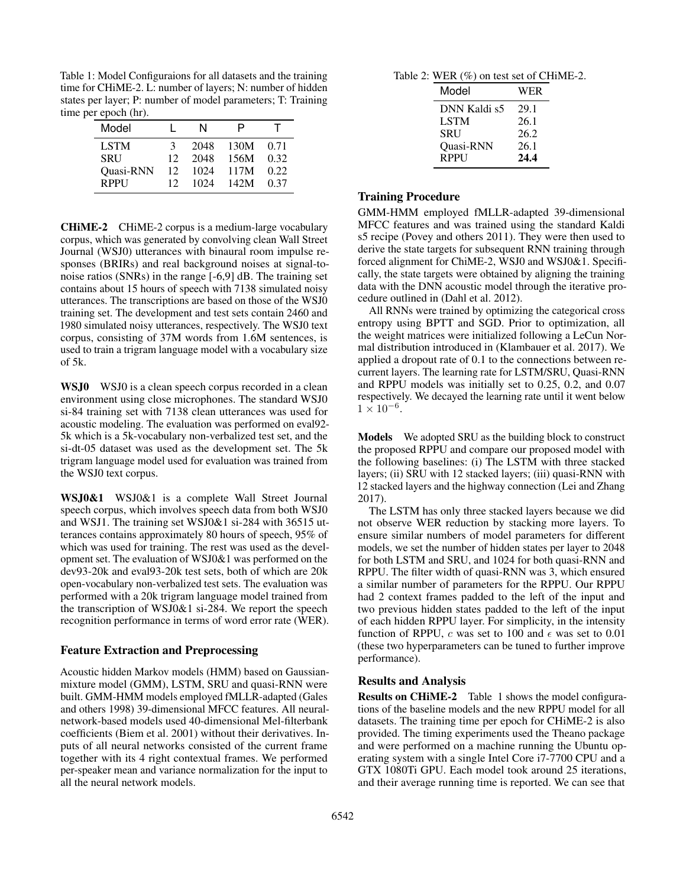Table 1: Model Configuraions for all datasets and the training time for CHiME-2. L: number of layers; N: number of hidden states per layer; P: number of model parameters; T: Training time per epoch (hr).

| Model       |    | N    | P    |      |
|-------------|----|------|------|------|
| <b>LSTM</b> |    | 2048 | 130M | 0.71 |
| <b>SRU</b>  | 12 | 2048 | 156M | 0.32 |
| Quasi-RNN   | 12 | 1024 | 117M | 0.22 |
| <b>RPPU</b> | 12 | 1024 | 142M | 0.37 |

CHiME-2 CHiME-2 corpus is a medium-large vocabulary corpus, which was generated by convolving clean Wall Street Journal (WSJ0) utterances with binaural room impulse responses (BRIRs) and real background noises at signal-tonoise ratios (SNRs) in the range [-6,9] dB. The training set contains about 15 hours of speech with 7138 simulated noisy utterances. The transcriptions are based on those of the WSJ0 training set. The development and test sets contain 2460 and 1980 simulated noisy utterances, respectively. The WSJ0 text corpus, consisting of 37M words from 1.6M sentences, is used to train a trigram language model with a vocabulary size of 5k.

WSJ0 WSJ0 is a clean speech corpus recorded in a clean environment using close microphones. The standard WSJ0 si-84 training set with 7138 clean utterances was used for acoustic modeling. The evaluation was performed on eval92- 5k which is a 5k-vocabulary non-verbalized test set, and the si-dt-05 dataset was used as the development set. The 5k trigram language model used for evaluation was trained from the WSJ0 text corpus.

WSJ0&1 WSJ0&1 is a complete Wall Street Journal speech corpus, which involves speech data from both WSJ0 and WSJ1. The training set WSJ0&1 si-284 with 36515 utterances contains approximately 80 hours of speech, 95% of which was used for training. The rest was used as the development set. The evaluation of WSJ0&1 was performed on the dev93-20k and eval93-20k test sets, both of which are 20k open-vocabulary non-verbalized test sets. The evaluation was performed with a 20k trigram language model trained from the transcription of WSJ0&1 si-284. We report the speech recognition performance in terms of word error rate (WER).

# Feature Extraction and Preprocessing

Acoustic hidden Markov models (HMM) based on Gaussianmixture model (GMM), LSTM, SRU and quasi-RNN were built. GMM-HMM models employed fMLLR-adapted (Gales and others 1998) 39-dimensional MFCC features. All neuralnetwork-based models used 40-dimensional Mel-filterbank coefficients (Biem et al. 2001) without their derivatives. Inputs of all neural networks consisted of the current frame together with its 4 right contextual frames. We performed per-speaker mean and variance normalization for the input to all the neural network models.

| Table 2: WER $(\%)$ on test set of CHiME-2. |  |  |  |
|---------------------------------------------|--|--|--|
|---------------------------------------------|--|--|--|

| Model            | <b>WER</b> |
|------------------|------------|
| DNN Kaldi s5     | 29.1       |
| <b>LSTM</b>      | 26.1       |
| <b>SRU</b>       | 26.2       |
| <b>Ouasi-RNN</b> | 26.1       |
| <b>RPPI</b>      | 24.4       |

## Training Procedure

GMM-HMM employed fMLLR-adapted 39-dimensional MFCC features and was trained using the standard Kaldi s5 recipe (Povey and others 2011). They were then used to derive the state targets for subsequent RNN training through forced alignment for ChiME-2, WSJ0 and WSJ0&1. Specifically, the state targets were obtained by aligning the training data with the DNN acoustic model through the iterative procedure outlined in (Dahl et al. 2012).

All RNNs were trained by optimizing the categorical cross entropy using BPTT and SGD. Prior to optimization, all the weight matrices were initialized following a LeCun Normal distribution introduced in (Klambauer et al. 2017). We applied a dropout rate of 0.1 to the connections between recurrent layers. The learning rate for LSTM/SRU, Quasi-RNN and RPPU models was initially set to 0.25, 0.2, and 0.07 respectively. We decayed the learning rate until it went below  $1 \times 10^{-6}$ .

Models We adopted SRU as the building block to construct the proposed RPPU and compare our proposed model with the following baselines: (i) The LSTM with three stacked layers; (ii) SRU with 12 stacked layers; (iii) quasi-RNN with 12 stacked layers and the highway connection (Lei and Zhang 2017).

The LSTM has only three stacked layers because we did not observe WER reduction by stacking more layers. To ensure similar numbers of model parameters for different models, we set the number of hidden states per layer to 2048 for both LSTM and SRU, and 1024 for both quasi-RNN and RPPU. The filter width of quasi-RNN was 3, which ensured a similar number of parameters for the RPPU. Our RPPU had 2 context frames padded to the left of the input and two previous hidden states padded to the left of the input of each hidden RPPU layer. For simplicity, in the intensity function of RPPU,  $c$  was set to 100 and  $\epsilon$  was set to 0.01 (these two hyperparameters can be tuned to further improve performance).

### Results and Analysis

Results on CHiME-2 Table 1 shows the model configurations of the baseline models and the new RPPU model for all datasets. The training time per epoch for CHiME-2 is also provided. The timing experiments used the Theano package and were performed on a machine running the Ubuntu operating system with a single Intel Core i7-7700 CPU and a GTX 1080Ti GPU. Each model took around 25 iterations, and their average running time is reported. We can see that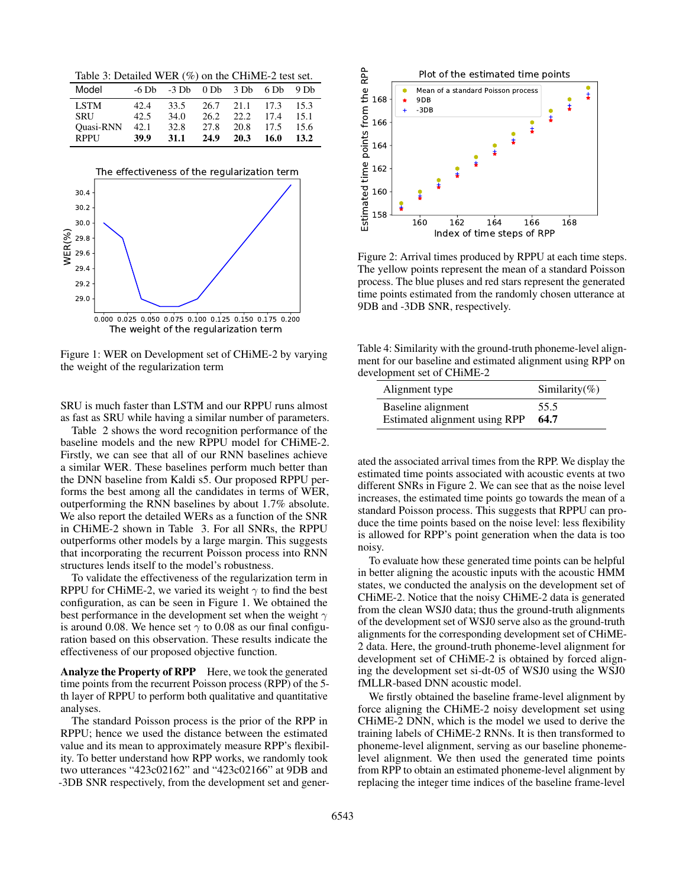| Model            | $-6$ Dh | $-3$ D <sub>b</sub> |      | $0Dh$ $3Dh$ | 6 Dh | 9 Dh |
|------------------|---------|---------------------|------|-------------|------|------|
| <b>LSTM</b>      | 42.4    | 33.5                | 26.7 | 21.1        | 17.3 | 15.3 |
| <b>SRU</b>       | 42.5    | 34.O                | 26.2 | 22.2        | 17.4 | 15.1 |
| <b>Ouasi-RNN</b> | 42.1    | 32.8                | 27.8 | 20.8        | 17.5 | 15.6 |
| <b>RPPU</b>      | 39.9    | 31.1                | 24.9 | 20.3        | 16.0 | 13.2 |



Figure 1: WER on Development set of CHiME-2 by varying the weight of the regularization term

SRU is much faster than LSTM and our RPPU runs almost as fast as SRU while having a similar number of parameters.

Table 2 shows the word recognition performance of the baseline models and the new RPPU model for CHiME-2. Firstly, we can see that all of our RNN baselines achieve a similar WER. These baselines perform much better than the DNN baseline from Kaldi s5. Our proposed RPPU performs the best among all the candidates in terms of WER, outperforming the RNN baselines by about 1.7% absolute. We also report the detailed WERs as a function of the SNR in CHiME-2 shown in Table 3. For all SNRs, the RPPU outperforms other models by a large margin. This suggests that incorporating the recurrent Poisson process into RNN structures lends itself to the model's robustness.

To validate the effectiveness of the regularization term in RPPU for CHiME-2, we varied its weight  $\gamma$  to find the best configuration, as can be seen in Figure 1. We obtained the best performance in the development set when the weight  $\gamma$ is around 0.08. We hence set  $\gamma$  to 0.08 as our final configuration based on this observation. These results indicate the effectiveness of our proposed objective function.

Analyze the Property of RPP Here, we took the generated time points from the recurrent Poisson process (RPP) of the 5 th layer of RPPU to perform both qualitative and quantitative analyses.

The standard Poisson process is the prior of the RPP in RPPU; hence we used the distance between the estimated value and its mean to approximately measure RPP's flexibility. To better understand how RPP works, we randomly took two utterances "423c02162" and "423c02166" at 9DB and -3DB SNR respectively, from the development set and gener-



Figure 2: Arrival times produced by RPPU at each time steps. The yellow points represent the mean of a standard Poisson process. The blue pluses and red stars represent the generated time points estimated from the randomly chosen utterance at 9DB and -3DB SNR, respectively.

Table 4: Similarity with the ground-truth phoneme-level alignment for our baseline and estimated alignment using RPP on development set of CHiME-2

| Alignment type                | Similarity(%) |
|-------------------------------|---------------|
| Baseline alignment            | 55.5          |
| Estimated alignment using RPP | 64.7          |

ated the associated arrival times from the RPP. We display the estimated time points associated with acoustic events at two different SNRs in Figure 2. We can see that as the noise level increases, the estimated time points go towards the mean of a standard Poisson process. This suggests that RPPU can produce the time points based on the noise level: less flexibility is allowed for RPP's point generation when the data is too noisy.

To evaluate how these generated time points can be helpful in better aligning the acoustic inputs with the acoustic HMM states, we conducted the analysis on the development set of CHiME-2. Notice that the noisy CHiME-2 data is generated from the clean WSJ0 data; thus the ground-truth alignments of the development set of WSJ0 serve also as the ground-truth alignments for the corresponding development set of CHiME-2 data. Here, the ground-truth phoneme-level alignment for development set of CHiME-2 is obtained by forced aligning the development set si-dt-05 of WSJ0 using the WSJ0 fMLLR-based DNN acoustic model.

We firstly obtained the baseline frame-level alignment by force aligning the CHiME-2 noisy development set using CHiME-2 DNN, which is the model we used to derive the training labels of CHiME-2 RNNs. It is then transformed to phoneme-level alignment, serving as our baseline phonemelevel alignment. We then used the generated time points from RPP to obtain an estimated phoneme-level alignment by replacing the integer time indices of the baseline frame-level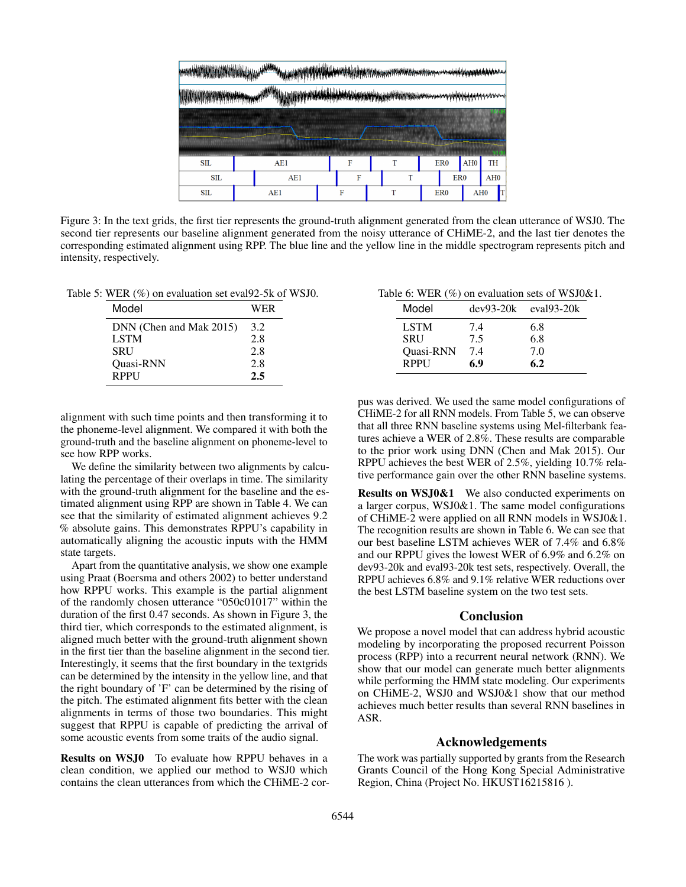| <b>DAU APARAMANA ANG ATAWA ATAWA ATA</b><br>استيباباتها           |  |                     |  |   |  |  |                 |     |                 |   |
|-------------------------------------------------------------------|--|---------------------|--|---|--|--|-----------------|-----|-----------------|---|
| <b>#WWW##WWW#WWW###WWW#WWW#WWW#</b><br>htoppyrium) <mark>.</mark> |  |                     |  |   |  |  |                 |     |                 |   |
|                                                                   |  |                     |  |   |  |  |                 |     |                 |   |
| ,,,,,,,,,,,,,,,,,,,,,,,,,,,,,,,,,                                 |  | <b>A FAA DUNNER</b> |  |   |  |  |                 |     |                 |   |
| <b>SIL</b>                                                        |  | AE1                 |  | F |  |  | ER <sub>0</sub> | AH0 | <b>TH</b>       |   |
| <b>SIL</b>                                                        |  | AE1                 |  | F |  |  | ER <sub>0</sub> |     | AH0             |   |
| <b>SIL</b>                                                        |  | AE1                 |  | F |  |  | ER <sub>0</sub> |     | AH <sub>0</sub> | m |

Figure 3: In the text grids, the first tier represents the ground-truth alignment generated from the clean utterance of WSJ0. The second tier represents our baseline alignment generated from the noisy utterance of CHiME-2, and the last tier denotes the corresponding estimated alignment using RPP. The blue line and the yellow line in the middle spectrogram represents pitch and intensity, respectively.

Table 5: WER (%) on evaluation set eval92-5k of WSJ0.

| Model                   | WER |
|-------------------------|-----|
| DNN (Chen and Mak 2015) | 3.2 |
| <b>LSTM</b>             | 2.8 |
| <b>SRU</b>              | 2.8 |
| Quasi-RNN               | 2.8 |
| <b>RPPU</b>             | 2.5 |

alignment with such time points and then transforming it to the phoneme-level alignment. We compared it with both the ground-truth and the baseline alignment on phoneme-level to see how RPP works.

We define the similarity between two alignments by calculating the percentage of their overlaps in time. The similarity with the ground-truth alignment for the baseline and the estimated alignment using RPP are shown in Table 4. We can see that the similarity of estimated alignment achieves 9.2 % absolute gains. This demonstrates RPPU's capability in automatically aligning the acoustic inputs with the HMM state targets.

Apart from the quantitative analysis, we show one example using Praat (Boersma and others 2002) to better understand how RPPU works. This example is the partial alignment of the randomly chosen utterance "050c01017" within the duration of the first 0.47 seconds. As shown in Figure 3, the third tier, which corresponds to the estimated alignment, is aligned much better with the ground-truth alignment shown in the first tier than the baseline alignment in the second tier. Interestingly, it seems that the first boundary in the textgrids can be determined by the intensity in the yellow line, and that the right boundary of 'F' can be determined by the rising of the pitch. The estimated alignment fits better with the clean alignments in terms of those two boundaries. This might suggest that RPPU is capable of predicting the arrival of some acoustic events from some traits of the audio signal.

Results on WSJ0 To evaluate how RPPU behaves in a clean condition, we applied our method to WSJ0 which contains the clean utterances from which the CHiME-2 cor-

### Table 6: WER (%) on evaluation sets of WSJ0&1.

| Model       | dev93-20k | eval93-20k |
|-------------|-----------|------------|
| <b>LSTM</b> | 7.4       | 6.8        |
| <b>SRU</b>  | 7.5       | 6.8        |
| Quasi-RNN   | 7.4       | 7.0        |
| <b>RPPU</b> | 6.9       | 6.2        |

pus was derived. We used the same model configurations of CHiME-2 for all RNN models. From Table 5, we can observe that all three RNN baseline systems using Mel-filterbank features achieve a WER of 2.8%. These results are comparable to the prior work using DNN (Chen and Mak 2015). Our RPPU achieves the best WER of 2.5%, yielding 10.7% relative performance gain over the other RNN baseline systems.

Results on WSJ0&1 We also conducted experiments on a larger corpus, WSJ0&1. The same model configurations of CHiME-2 were applied on all RNN models in WSJ0&1. The recognition results are shown in Table 6. We can see that our best baseline LSTM achieves WER of 7.4% and 6.8% and our RPPU gives the lowest WER of 6.9% and 6.2% on dev93-20k and eval93-20k test sets, respectively. Overall, the RPPU achieves 6.8% and 9.1% relative WER reductions over the best LSTM baseline system on the two test sets.

### Conclusion

We propose a novel model that can address hybrid acoustic modeling by incorporating the proposed recurrent Poisson process (RPP) into a recurrent neural network (RNN). We show that our model can generate much better alignments while performing the HMM state modeling. Our experiments on CHiME-2, WSJ0 and WSJ0&1 show that our method achieves much better results than several RNN baselines in ASR.

# Acknowledgements

The work was partially supported by grants from the Research Grants Council of the Hong Kong Special Administrative Region, China (Project No. HKUST16215816 ).